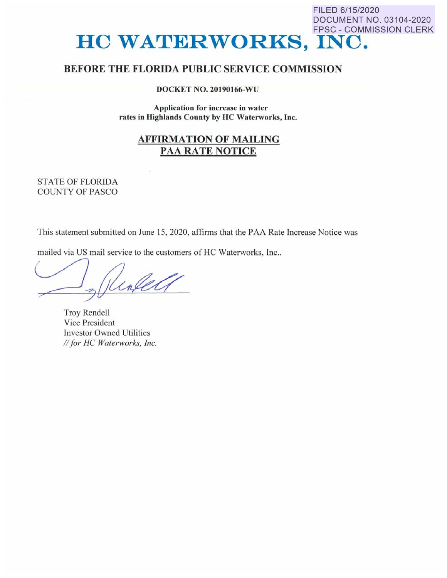# DOCUMENT NO. 03104-2020 FPSC - COMMISSION CLERK **HC WATERWORKS, INC.**

FILED 6/15/2020

## **BEFORE THE FLORIDA PUBLIC SERVICE COMMISSION**

**DOCKET NO. 20190166-WU** 

**Application for increase in water rates in Highlands County by HC Waterworks, Inc.** 

## **AFFIRMATION OF MAILING PAA RATE NOTICE**

### STATE OF FLORIDA COUNTY OF PASCO

This statement submitted on June 15, 2020, affirms that the PAA Rate lncrease Notice was

mailed via US mail service to the customers of HC Waterworks, Inc..

Kinley

Troy Rendell Vice President Investor Owned Utilities *II for HC Waterworks, Inc.*